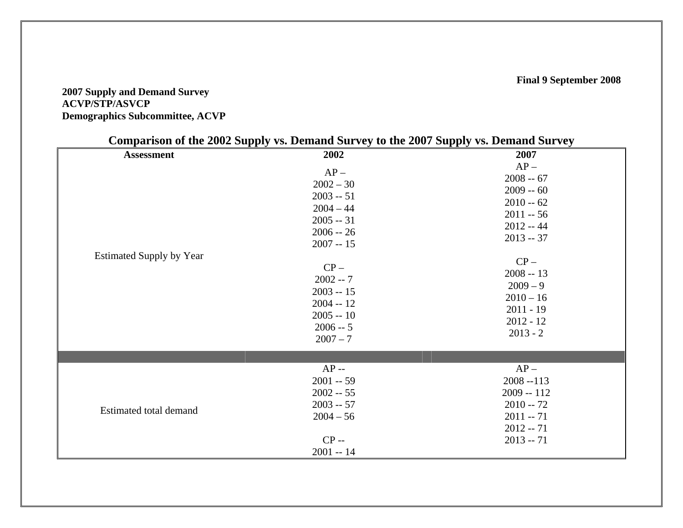## **2007 Supply and Demand Survey ACVP/STP/ASVCP Demographics Subcommittee, ACVP**

| Comparison of the 2002 Supply vs. Demand Survey to the 2007 Supply vs. Demand Survey |                                                                                               |                                                                                                    |  |
|--------------------------------------------------------------------------------------|-----------------------------------------------------------------------------------------------|----------------------------------------------------------------------------------------------------|--|
| <b>Assessment</b>                                                                    | 2002<br>$AP -$<br>$2002 - 30$                                                                 | 2007<br>$AP -$<br>$2008 - 67$                                                                      |  |
| <b>Estimated Supply by Year</b>                                                      | $2003 - 51$<br>$2004 - 44$<br>$2005 - 31$<br>$2006 - 26$<br>$2007 - 15$                       | $2009 - 60$<br>$2010 - 62$<br>$2011 - 56$<br>$2012 - 44$<br>$2013 - 37$                            |  |
|                                                                                      | $CP -$<br>$2002 - 7$<br>$2003 - 15$<br>$2004 - 12$<br>$2005 - 10$<br>$2006 - 5$<br>$2007 - 7$ | $CP -$<br>$2008 - 13$<br>$2009 - 9$<br>$2010 - 16$<br>$2011 - 19$<br>$2012 - 12$<br>$2013 - 2$     |  |
|                                                                                      |                                                                                               |                                                                                                    |  |
| Estimated total demand                                                               | $AP -$<br>$2001 - 59$<br>$2002 - 55$<br>$2003 - 57$<br>$2004 - 56$<br>$CP -$<br>$2001 - 14$   | $AP -$<br>$2008 - 113$<br>$2009 - 112$<br>$2010 - 72$<br>$2011 - 71$<br>$2012 - 71$<br>$2013 - 71$ |  |